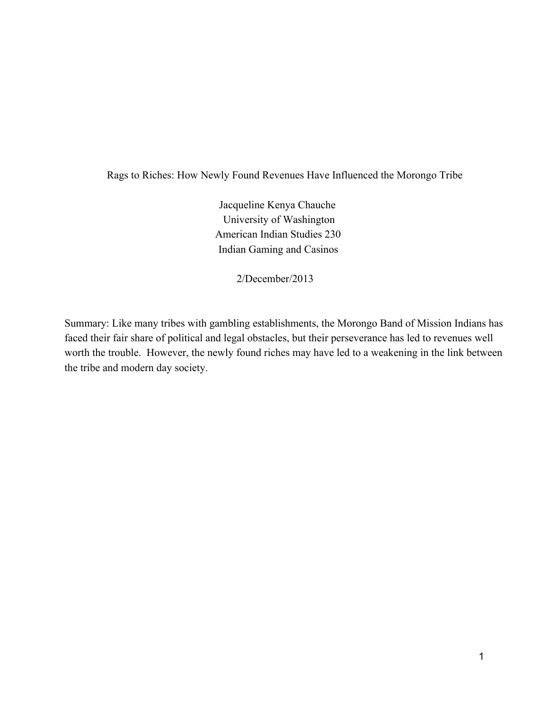Rags to Riches: How Newly Found Revenues Have Influenced the Morongo Tribe

Jacqueline Kenya Chauche University of Washington American Indian Studies 230 Indian Gaming and Casinos

2/December/2013

Summary: Like many tribes with gambling establishments, the Morongo Band of Mission Indians has faced their fair share of political and legal obstacles, but their perseverance has led to revenues well worth the trouble. However, the newly found riches may have led to a weakening in the link between the tribe and modern day society.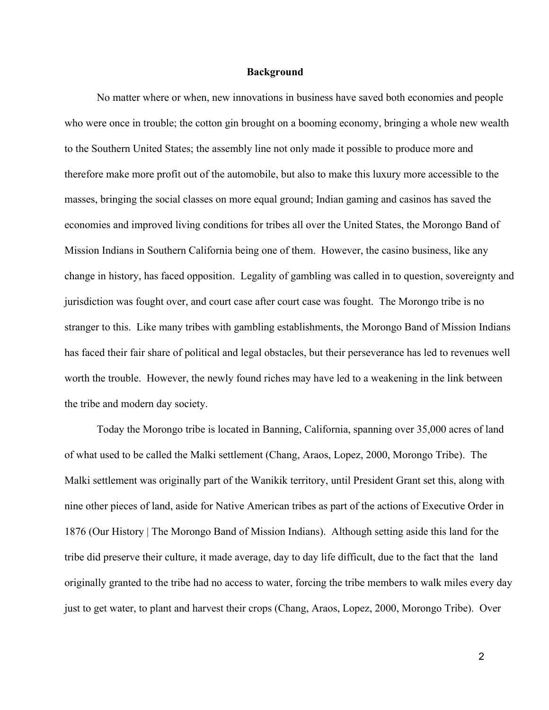## **Background**

No matter where or when, new innovations in business have saved both economies and people who were once in trouble; the cotton gin brought on a booming economy, bringing a whole new wealth to the Southern United States; the assembly line not only made it possible to produce more and therefore make more profit out of the automobile, but also to make this luxury more accessible to the masses, bringing the social classes on more equal ground; Indian gaming and casinos has saved the economies and improved living conditions for tribes all over the United States, the Morongo Band of Mission Indians in Southern California being one of them. However, the casino business, like any change in history, has faced opposition. Legality of gambling was called in to question, sovereignty and jurisdiction was fought over, and court case after court case was fought. The Morongo tribe is no stranger to this. Like many tribes with gambling establishments, the Morongo Band of Mission Indians has faced their fair share of political and legal obstacles, but their perseverance has led to revenues well worth the trouble. However, the newly found riches may have led to a weakening in the link between the tribe and modern day society.

Today the Morongo tribe is located in Banning, California, spanning over 35,000 acres of land of what used to be called the Malki settlement (Chang, Araos, Lopez, 2000, Morongo Tribe). The Malki settlement was originally part of the Wanikik territory, until President Grant set this, along with nine other pieces of land, aside for Native American tribes as part of the actions of Executive Order in 1876 (Our History | The Morongo Band of Mission Indians). Although setting aside this land for the tribe did preserve their culture, it made average, day to day life difficult, due to the fact that the land originally granted to the tribe had no access to water, forcing the tribe members to walk miles every day just to get water, to plant and harvest their crops (Chang, Araos, Lopez, 2000, Morongo Tribe). Over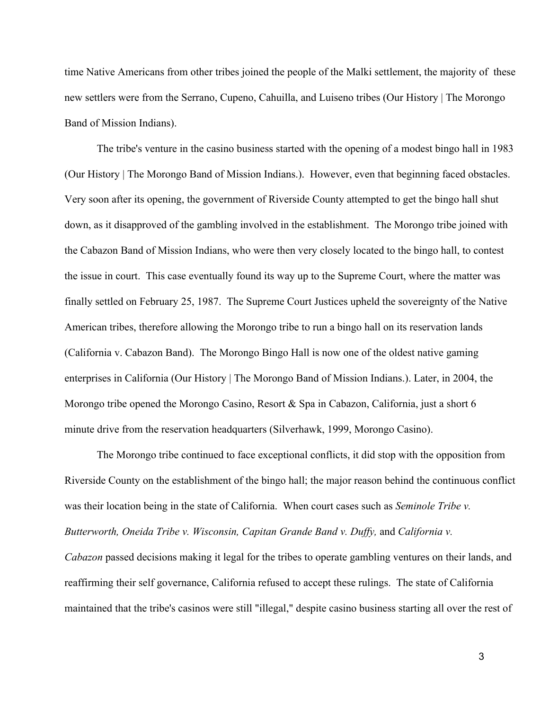time Native Americans from other tribes joined the people of the Malki settlement, the majority of these new settlers were from the Serrano, Cupeno, Cahuilla, and Luiseno tribes (Our History | The Morongo Band of Mission Indians).

The tribe's venture in the casino business started with the opening of a modest bingo hall in 1983 (Our History | The Morongo Band of Mission Indians.). However, even that beginning faced obstacles. Very soon after its opening, the government of Riverside County attempted to get the bingo hall shut down, as it disapproved of the gambling involved in the establishment. The Morongo tribe joined with the Cabazon Band of Mission Indians, who were then very closely located to the bingo hall, to contest the issue in court. This case eventually found its way up to the Supreme Court, where the matter was finally settled on February 25, 1987. The Supreme Court Justices upheld the sovereignty of the Native American tribes, therefore allowing the Morongo tribe to run a bingo hall on its reservation lands (California v. Cabazon Band). The Morongo Bingo Hall is now one of the oldest native gaming enterprises in California (Our History | The Morongo Band of Mission Indians.). Later, in 2004, the Morongo tribe opened the Morongo Casino, Resort & Spa in Cabazon, California, just a short 6 minute drive from the reservation headquarters (Silverhawk, 1999, Morongo Casino).

The Morongo tribe continued to face exceptional conflicts, it did stop with the opposition from Riverside County on the establishment of the bingo hall; the major reason behind the continuous conflict was their location being in the state of California. When court cases such as *Seminole Tribe v. Butterworth, Oneida Tribe v. Wisconsin, Capitan Grande Band v. Duffy, and California v. Cabazon* passed decisions making it legal for the tribes to operate gambling ventures on their lands, and reaffirming their self governance, California refused to accept these rulings. The state of California maintained that the tribe's casinos were still "illegal," despite casino business starting all over the rest of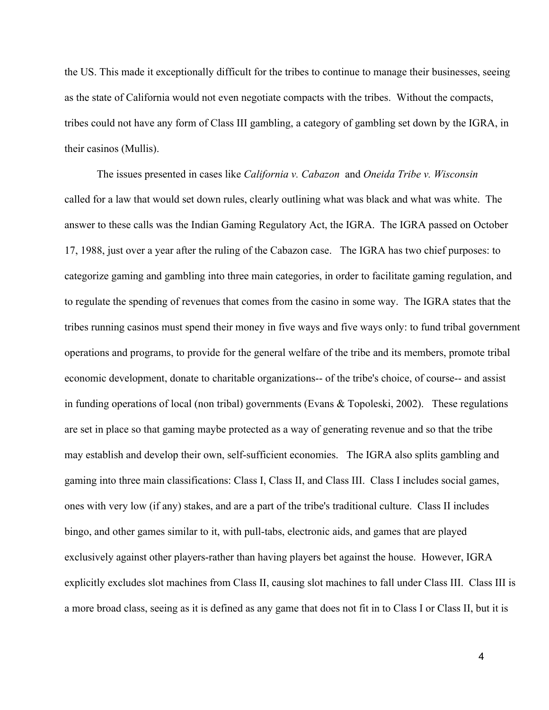the US. This made it exceptionally difficult for the tribes to continue to manage their businesses, seeing as the state of California would not even negotiate compacts with the tribes. Without the compacts, tribes could not have any form of Class III gambling, a category of gambling set down by the IGRA, in their casinos (Mullis).

The issues presented in cases like *California v. Cabazon* and *Oneida Tribe v. Wisconsin* called for a law that would set down rules, clearly outlining what was black and what was white. The answer to these calls was the Indian Gaming Regulatory Act, the IGRA. The IGRA passed on October 17, 1988, just over a year after the ruling of the Cabazon case. The IGRA has two chief purposes: to categorize gaming and gambling into three main categories, in order to facilitate gaming regulation, and to regulate the spending of revenues that comes from the casino in some way. The IGRA states that the tribes running casinos must spend their money in five ways and five ways only: to fund tribal government operations and programs, to provide for the general welfare of the tribe and its members, promote tribal economic development, donate to charitable organizations— of the tribe's choice, of course— and assist in funding operations of local (non tribal) governments (Evans & Topoleski, 2002). These regulations are set in place so that gaming maybe protected as a way of generating revenue and so that the tribe may establish and develop their own, self-sufficient economies. The IGRA also splits gambling and gaming into three main classifications: Class I, Class II, and Class III. Class I includes social games, ones with very low (if any) stakes, and are a part of the tribe's traditional culture. Class II includes bingo, and other games similar to it, with pull-tabs, electronic aids, and games that are played exclusively against other players-rather than having players bet against the house. However, IGRA explicitly excludes slot machines from Class II, causing slot machines to fall under Class III. Class III is a more broad class, seeing as it is defined as any game that does not fit in to Class I or Class II, but it is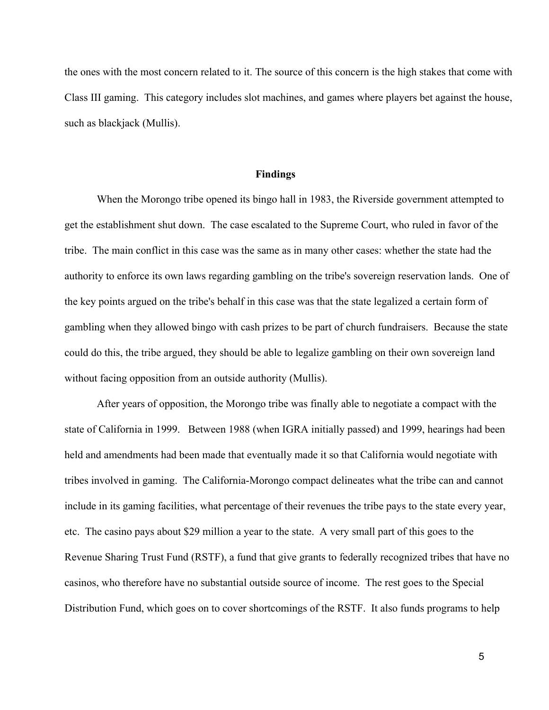the ones with the most concern related to it. The source of this concern is the high stakes that come with Class III gaming. This category includes slot machines, and games where players bet against the house, such as blackjack (Mullis).

## **Findings**

When the Morongo tribe opened its bingo hall in 1983, the Riverside government attempted to get the establishment shut down. The case escalated to the Supreme Court, who ruled in favor of the tribe. The main conflict in this case was the same as in many other cases: whether the state had the authority to enforce its own laws regarding gambling on the tribe's sovereign reservation lands. One of the key points argued on the tribe's behalf in this case was that the state legalized a certain form of gambling when they allowed bingo with cash prizes to be part of church fundraisers. Because the state could do this, the tribe argued, they should be able to legalize gambling on their own sovereign land without facing opposition from an outside authority (Mullis).

After years of opposition, the Morongo tribe was finally able to negotiate a compact with the state of California in 1999. Between 1988 (when IGRA initially passed) and 1999, hearings had been held and amendments had been made that eventually made it so that California would negotiate with tribes involved in gaming. The California-Morongo compact delineates what the tribe can and cannot include in its gaming facilities, what percentage of their revenues the tribe pays to the state every year, etc. The casino pays about \$29 million a year to the state. A very small part of this goes to the Revenue Sharing Trust Fund (RSTF), a fund that give grants to federally recognized tribes that have no casinos, who therefore have no substantial outside source of income. The rest goes to the Special Distribution Fund, which goes on to cover shortcomings of the RSTF. It also funds programs to help

5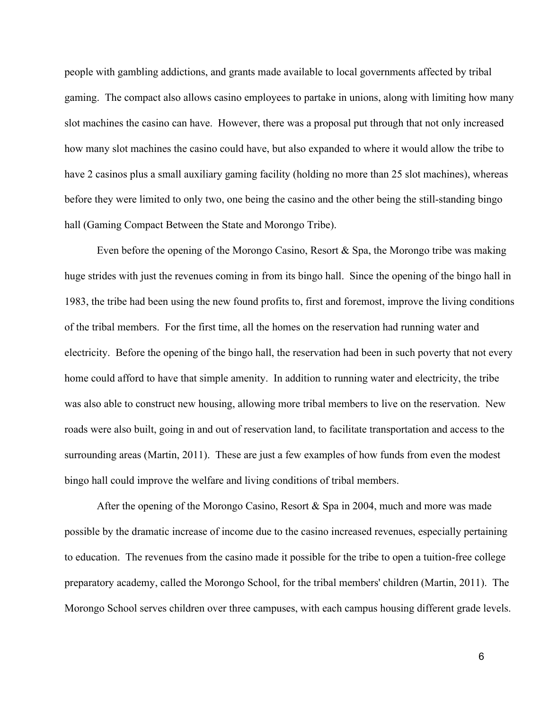people with gambling addictions, and grants made available to local governments affected by tribal gaming. The compact also allows casino employees to partake in unions, along with limiting how many slot machines the casino can have. However, there was a proposal put through that not only increased how many slot machines the casino could have, but also expanded to where it would allow the tribe to have 2 casinos plus a small auxiliary gaming facility (holding no more than 25 slot machines), whereas before they were limited to only two, one being the casino and the other being the still-standing bingo hall (Gaming Compact Between the State and Morongo Tribe).

Even before the opening of the Morongo Casino, Resort & Spa, the Morongo tribe was making huge strides with just the revenues coming in from its bingo hall. Since the opening of the bingo hall in 1983, the tribe had been using the new found profits to, first and foremost, improve the living conditions of the tribal members. For the first time, all the homes on the reservation had running water and electricity. Before the opening of the bingo hall, the reservation had been in such poverty that not every home could afford to have that simple amenity. In addition to running water and electricity, the tribe was also able to construct new housing, allowing more tribal members to live on the reservation. New roads were also built, going in and out of reservation land, to facilitate transportation and access to the surrounding areas (Martin, 2011). These are just a few examples of how funds from even the modest bingo hall could improve the welfare and living conditions of tribal members.

After the opening of the Morongo Casino, Resort & Spa in 2004, much and more was made possible by the dramatic increase of income due to the casino increased revenues, especially pertaining to education. The revenues from the casino made it possible for the tribe to open a tuition-free college preparatory academy, called the Morongo School, for the tribal members' children (Martin, 2011). The Morongo School serves children over three campuses, with each campus housing different grade levels.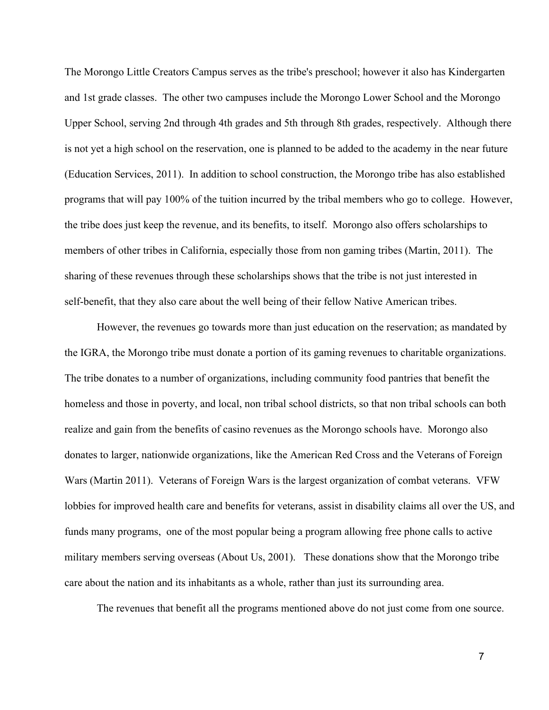The Morongo Little Creators Campus serves as the tribe's preschool; however it also has Kindergarten and 1st grade classes. The other two campuses include the Morongo Lower School and the Morongo Upper School, serving 2nd through 4th grades and 5th through 8th grades, respectively. Although there is not yet a high school on the reservation, one is planned to be added to the academy in the near future (Education Services, 2011). In addition to school construction, the Morongo tribe has also established programs that will pay 100% of the tuition incurred by the tribal members who go to college. However, the tribe does just keep the revenue, and its benefits, to itself. Morongo also offers scholarships to members of other tribes in California, especially those from non gaming tribes (Martin, 2011). The sharing of these revenues through these scholarships shows that the tribe is not just interested in self-benefit, that they also care about the well being of their fellow Native American tribes.

However, the revenues go towards more than just education on the reservation; as mandated by the IGRA, the Morongo tribe must donate a portion of its gaming revenues to charitable organizations. The tribe donates to a number of organizations, including community food pantries that benefit the homeless and those in poverty, and local, non tribal school districts, so that non tribal schools can both realize and gain from the benefits of casino revenues as the Morongo schools have. Morongo also donates to larger, nationwide organizations, like the American Red Cross and the Veterans of Foreign Wars (Martin 2011). Veterans of Foreign Wars is the largest organization of combat veterans. VFW lobbies for improved health care and benefits for veterans, assist in disability claims all over the US, and funds many programs, one of the most popular being a program allowing free phone calls to active military members serving overseas (About Us, 2001). These donations show that the Morongo tribe care about the nation and its inhabitants as a whole, rather than just its surrounding area.

The revenues that benefit all the programs mentioned above do not just come from one source.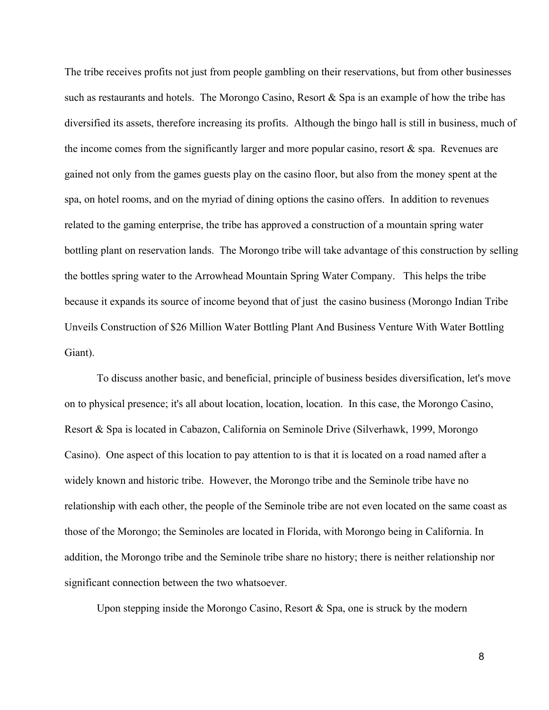The tribe receives profits not just from people gambling on their reservations, but from other businesses such as restaurants and hotels. The Morongo Casino, Resort & Spa is an example of how the tribe has diversified its assets, therefore increasing its profits. Although the bingo hall is still in business, much of the income comes from the significantly larger and more popular casino, resort & spa. Revenues are gained not only from the games guests play on the casino floor, but also from the money spent at the spa, on hotel rooms, and on the myriad of dining options the casino offers. In addition to revenues related to the gaming enterprise, the tribe has approved a construction of a mountain spring water bottling plant on reservation lands. The Morongo tribe will take advantage of this construction by selling the bottles spring water to the Arrowhead Mountain Spring Water Company. This helps the tribe because it expands its source of income beyond that of just the casino business (Morongo Indian Tribe Unveils Construction of \$26 Million Water Bottling Plant And Business Venture With Water Bottling Giant).

To discuss another basic, and beneficial, principle of business besides diversification, let's move on to physical presence; it's all about location, location, location. In this case, the Morongo Casino, Resort & Spa is located in Cabazon, California on Seminole Drive (Silverhawk, 1999, Morongo Casino). One aspect of this location to pay attention to is that it is located on a road named after a widely known and historic tribe. However, the Morongo tribe and the Seminole tribe have no relationship with each other, the people of the Seminole tribe are not even located on the same coast as those of the Morongo; the Seminoles are located in Florida, with Morongo being in California. In addition, the Morongo tribe and the Seminole tribe share no history; there is neither relationship nor significant connection between the two whatsoever.

Upon stepping inside the Morongo Casino, Resort  $\&$  Spa, one is struck by the modern

8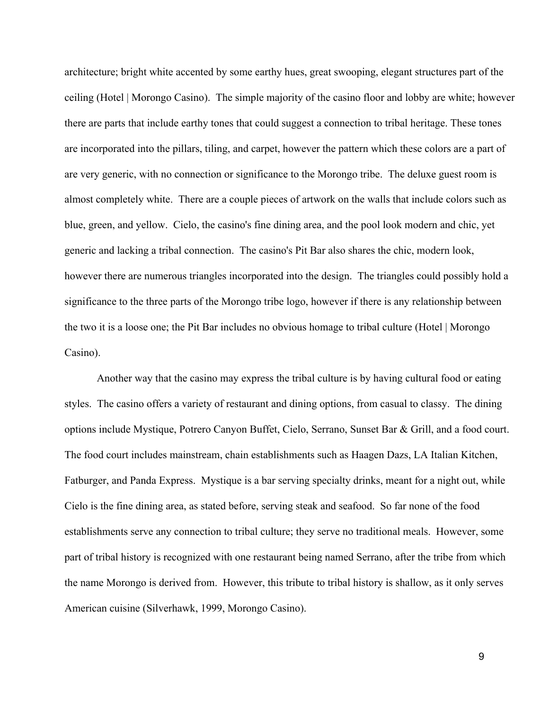architecture; bright white accented by some earthy hues, great swooping, elegant structures part of the ceiling (Hotel | Morongo Casino). The simple majority of the casino floor and lobby are white; however there are parts that include earthy tones that could suggest a connection to tribal heritage. These tones are incorporated into the pillars, tiling, and carpet, however the pattern which these colors are a part of are very generic, with no connection or significance to the Morongo tribe. The deluxe guest room is almost completely white. There are a couple pieces of artwork on the walls that include colors such as blue, green, and yellow. Cielo, the casino's fine dining area, and the pool look modern and chic, yet generic and lacking a tribal connection. The casino's Pit Bar also shares the chic, modern look, however there are numerous triangles incorporated into the design. The triangles could possibly hold a significance to the three parts of the Morongo tribe logo, however if there is any relationship between the two it is a loose one; the Pit Bar includes no obvious homage to tribal culture (Hotel | Morongo Casino).

Another way that the casino may express the tribal culture is by having cultural food or eating styles. The casino offers a variety of restaurant and dining options, from casual to classy. The dining options include Mystique, Potrero Canyon Buffet, Cielo, Serrano, Sunset Bar & Grill, and a food court. The food court includes mainstream, chain establishments such as Haagen Dazs, LA Italian Kitchen, Fatburger, and Panda Express. Mystique is a bar serving specialty drinks, meant for a night out, while Cielo is the fine dining area, as stated before, serving steak and seafood. So far none of the food establishments serve any connection to tribal culture; they serve no traditional meals. However, some part of tribal history is recognized with one restaurant being named Serrano, after the tribe from which the name Morongo is derived from. However, this tribute to tribal history is shallow, as it only serves American cuisine (Silverhawk, 1999, Morongo Casino).

9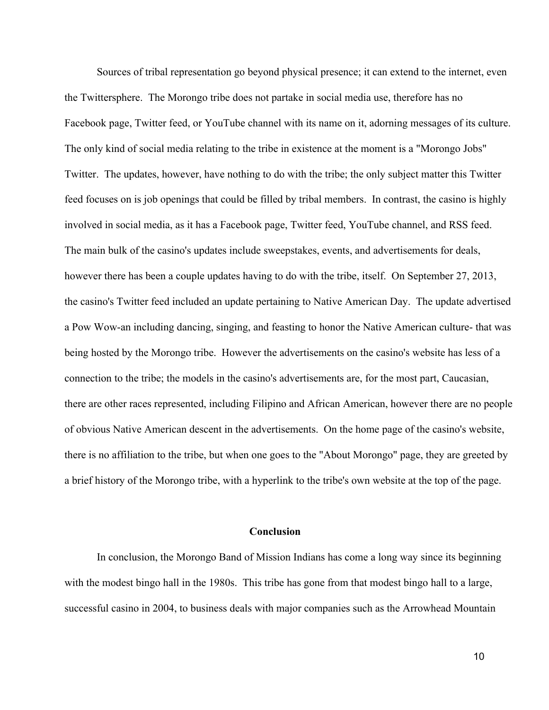Sources of tribal representation go beyond physical presence; it can extend to the internet, even the Twittersphere. The Morongo tribe does not partake in social media use, therefore has no Facebook page, Twitter feed, or YouTube channel with its name on it, adorning messages of its culture. The only kind of social media relating to the tribe in existence at the moment is a "Morongo Jobs" Twitter. The updates, however, have nothing to do with the tribe; the only subject matter this Twitter feed focuses on is job openings that could be filled by tribal members. In contrast, the casino is highly involved in social media, as it has a Facebook page, Twitter feed, YouTube channel, and RSS feed. The main bulk of the casino's updates include sweepstakes, events, and advertisements for deals, however there has been a couple updates having to do with the tribe, itself. On September 27, 2013, the casino's Twitter feed included an update pertaining to Native American Day. The update advertised a Pow Wow-an including dancing, singing, and feasting to honor the Native American culture- that was being hosted by the Morongo tribe. However the advertisements on the casino's website has less of a connection to the tribe; the models in the casino's advertisements are, for the most part, Caucasian, there are other races represented, including Filipino and African American, however there are no people of obvious Native American descent in the advertisements. On the home page of the casino's website, there is no affiliation to the tribe, but when one goes to the "About Morongo" page, they are greeted by a brief history of the Morongo tribe, with a hyperlink to the tribe's own website at the top of the page.

## **Conclusion**

In conclusion, the Morongo Band of Mission Indians has come a long way since its beginning with the modest bingo hall in the 1980s. This tribe has gone from that modest bingo hall to a large, successful casino in 2004, to business deals with major companies such as the Arrowhead Mountain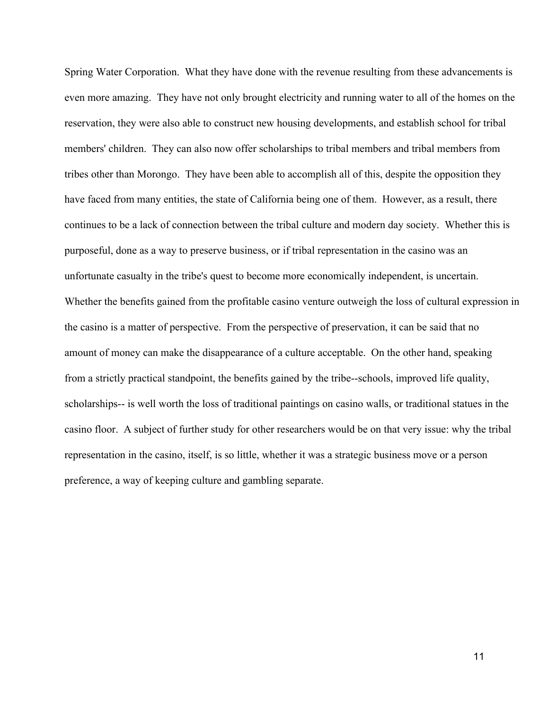Spring Water Corporation. What they have done with the revenue resulting from these advancements is even more amazing. They have not only brought electricity and running water to all of the homes on the reservation, they were also able to construct new housing developments, and establish school for tribal members' children. They can also now offer scholarships to tribal members and tribal members from tribes other than Morongo. They have been able to accomplish all of this, despite the opposition they have faced from many entities, the state of California being one of them. However, as a result, there continues to be a lack of connection between the tribal culture and modern day society. Whether this is purposeful, done as a way to preserve business, or if tribal representation in the casino was an unfortunate casualty in the tribe's quest to become more economically independent, is uncertain. Whether the benefits gained from the profitable casino venture outweigh the loss of cultural expression in the casino is a matter of perspective. From the perspective of preservation, it can be said that no amount of money can make the disappearance of a culture acceptable. On the other hand, speaking from a strictly practical standpoint, the benefits gained by the tribe--schools, improved life quality, scholarships-- is well worth the loss of traditional paintings on casino walls, or traditional statues in the casino floor. A subject of further study for other researchers would be on that very issue: why the tribal representation in the casino, itself, is so little, whether it was a strategic business move or a person preference, a way of keeping culture and gambling separate.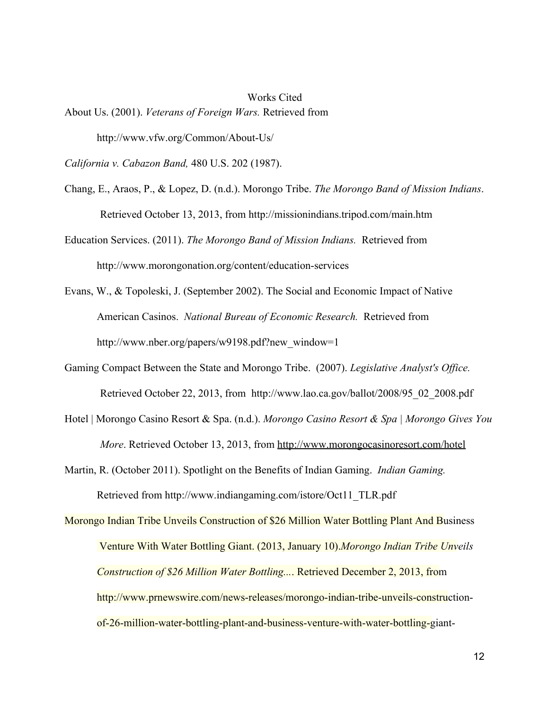Works Cited About Us. (2001). *Veterans of Foreign Wars.* Retrieved from http://www.vfw.org/Common/About-Us/

*California v. Cabazon Band,* 480 U.S. 202 (1987).

- Chang, E., Araos, P., & Lopez, D. (n.d.). Morongo Tribe. *The Morongo Band of Mission Indians*. Retrieved October 13, 2013, from http://missionindians.tripod.com/main.htm
- Education Services. (2011). *The Morongo Band of Mission Indians.* Retrieved from http://www.morongonation.org/content/education-services
- Evans, W., & Topoleski, J. (September 2002). The Social and Economic Impact of Native American Casinos. *National Bureau of Economic Research.* Retrieved from http://www.nber.org/papers/w9198.pdf?new\_window=1
- Gaming Compact Between the State and Morongo Tribe. (2007). *Legislative Analyst's Office.* Retrieved October 22, 2013, from [http://www.lao.ca.gov/ballot/2008/95\\_02\\_2008.pdf](http://www.google.com/url?q=http%3A%2F%2Fwww.lao.ca.gov%2Fballot%2F2008%2F95_02_2008.pdf&sa=D&sntz=1&usg=AFQjCNHC_4CVuXkk20YuvofJU46J-l0HNQ)
- Hotel | Morongo Casino Resort & Spa. (n.d.). *Morongo Casino Resort & Spa | Morongo Gives You More*. Retrieved October 13, 2013, from [http://www.morongocasinoresort.com/hotel](http://www.google.com/url?q=http%3A%2F%2Fwww.morongocasinoresort.com%2Fhotel&sa=D&sntz=1&usg=AFQjCNGdVed6G4giGeN3TE7utBSfqsdrsA)
- Martin, R. (October 2011). Spotlight on the Benefits of Indian Gaming. *Indian Gaming.* Retrieved from [http://www.indiangaming.com/istore/Oct11\\_TLR.pdf](http://www.google.com/url?q=http%3A%2F%2Fwww.indiangaming.com%2Fistore%2FOct11_TLR.pdf&sa=D&sntz=1&usg=AFQjCNGz4LSCE5HJTmeLSB3YNXm-su-Maw)

Morongo Indian Tribe Unveils [Construction](http://www.google.com/url?q=http%3A%2F%2Fwww.bibme.org%2F&sa=D&sntz=1&usg=AFQjCNFj2MidMf4tIeksVcfLzOePNnoc1g) of \$26 Million Water Bottling Plant And Business Venture With Water [Bottling](http://www.google.com/url?q=http%3A%2F%2Fwww.bibme.org%2F&sa=D&sntz=1&usg=AFQjCNFj2MidMf4tIeksVcfLzOePNnoc1g) Giant. (2013, January 10).*[Morongo](http://www.google.com/url?q=http%3A%2F%2Fwww.bibme.org%2F&sa=D&sntz=1&usg=AFQjCNFj2MidMf4tIeksVcfLzOePNnoc1g) Indian Tribe Unveils [Construction](http://www.google.com/url?q=http%3A%2F%2Fwww.bibme.org%2F&sa=D&sntz=1&usg=AFQjCNFj2MidMf4tIeksVcfLzOePNnoc1g) of \$26 Million Water Bottling...*. Retrieved [December](http://www.google.com/url?q=http%3A%2F%2Fwww.bibme.org%2F&sa=D&sntz=1&usg=AFQjCNFj2MidMf4tIeksVcfLzOePNnoc1g) 2, 2013, from http://www.prnewswire.com/news-releases/morongo-indian-tribe-unveils-constructionof-26-million-water-bottling-plant-and-business-venture-with-water-bottling-giant-